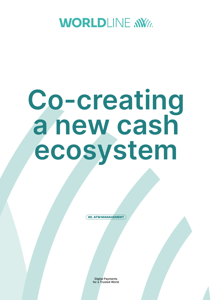

# **Co-creating a new cash ecosystem**

WL ATM MANAGEMENT

Digital Payments for a Trusted World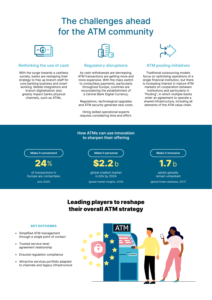## The challenges ahead for the ATM community



#### **Rethinking the use of cash**

With the surge towards a cashless society, banks are reshaping their strategy to free up branch staff for core banking business and smart working. Mobile integrations and branch digitalisation also greatly impact banks physical channels, such as ATMs.



#### **Regulatory disruptions**

As cash withdrawals are decreasing, ATM transactions are getting more and more expensive. With the mass switch to contactless payments, particularly throughout Europe, countries are reconsidering the establishment of a Central Bank Digital Currency.

Regulations, technological upgrades and ATM security generate new costs.

Hiring skilled operational experts requires considering time and effort.



#### **ATM pooling initiatives**

Traditional outsourcing models focus on optimising operations of a single financial institution, but there is increasing interest in mature ATM markets on cooperation between institutions and particularly in "Pooling", in which multiple banks enter an agreement to operate a shared infrastructure, including all elements of the ATM value chain.

#### **How ATMs can use innovation to sharpen their offering**

#### **Make it convenient**

 $\mathbf{\Lambda}$ %

of transactions in Europe are contactless (ecb 2020)

**Make it personal**

 $2.2<sub>b</sub>$ 

global chatbot market in bfsi by 2024 (global market insights, 2018)

**Make it inclusive**

 $1.7\,\mathrm{b}$ adults globally remain unbanked

(global findex database, 2017)

## Leading players to reshape their overall ATM strategy

#### KEY OUTCOMES

- Simplified ATM management through a single point of contact
- Trusted service-level agreement relationship
- Ensured regulation compliance
- Attractive services portfolio adapted to channels and legacy infrastructure

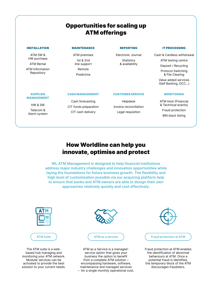## Opportunities for scaling up ATM offerings

#### INSTALLATION

ATM SW & HW purchase ATM Rental

ATM Information Repository

#### MAINTENANCE

ATM premises 1st & 2nd line support Remote Predictive

#### REPORTING

Electronic Journal **Statistics** & availability

#### IT PROCESSING

Cash & Cardless withdrawal ATM testing centre

Deposit / Recycling

Protocol Switching & File Clearing

Value added services (Self Banking, DCC...)

#### SUPPLIER MANAGEMENT

HW & SW

Telecom & Alarm system

#### CASH MANAGEMENT

Cash forecasting CIT funds preparation CIT cash delivery

#### CUSTOMER SERVICE

Helpdesk Invoice reconciliation Legal requisition

#### MONITORING

ATM Host (Financial & Technical events) Fraud protection BIN black listing

### How Worldline can help you innovate, optimise and protect

**WL ATM Management is designed to help financial institutions address major industry challenges and innovation opportunities while laying the foundations for future business growth. The flexibility and high level of customisation possible via our acquiring platform help to ensure that banks and ATM owners are able to design their own approaches relatively quickly and cost effectively.**



based hub managing and monitoring your ATM network. Modular services can be activated to provide the best solution to your current needs.

service option that gives your business the option to benefit from a complete ATM solution – encompassing hardware, software, maintenance and managed services – for a single monthly operational cost.

the identification of abnormal behaviours at ATM. Once a potential fraud is identified, the temporary block of the ATM discourages fraudsters.